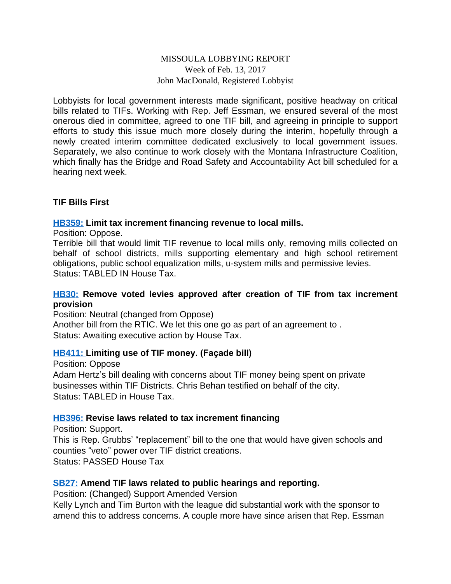#### MISSOULA LOBBYING REPORT Week of Feb. 13, 2017 John MacDonald, Registered Lobbyist

Lobbyists for local government interests made significant, positive headway on critical bills related to TIFs. Working with Rep. Jeff Essman, we ensured several of the most onerous died in committee, agreed to one TIF bill, and agreeing in principle to support efforts to study this issue much more closely during the interim, hopefully through a newly created interim committee dedicated exclusively to local government issues. Separately, we also continue to work closely with the Montana Infrastructure Coalition, which finally has the Bridge and Road Safety and Accountability Act bill scheduled for a hearing next week.

#### **TIF Bills First**

#### **[HB359:](http://laws.leg.mt.gov/legprd/LAW0210W$BSIV.ActionQuery?P_BILL_NO1=359&P_BLTP_BILL_TYP_CD=HB&Z_ACTION=Find&P_SESS=20171) Limit tax increment financing revenue to local mills.**

Position: Oppose.

Terrible bill that would limit TIF revenue to local mills only, removing mills collected on behalf of school districts, mills supporting elementary and high school retirement obligations, public school equalization mills, u-system mills and permissive levies. Status: TABLED IN House Tax.

#### **[HB30:](http://laws.leg.mt.gov/legprd/LAW0210W$BSIV.ActionQuery?P_BILL_NO1=30&P_BLTP_BILL_TYP_CD=HB&Z_ACTION=Find&P_SESS=20171) Remove voted levies approved after creation of TIF from tax increment provision**

Position: Neutral (changed from Oppose)

Another bill from the RTIC. We let this one go as part of an agreement to . Status: Awaiting executive action by House Tax.

#### **[HB411: L](http://laws.leg.mt.gov/legprd/LAW0210W$BSIV.ActionQuery?P_BILL_NO1=411&P_BLTP_BILL_TYP_CD=HB&Z_ACTION=Find&P_SESS=20171)imiting use of TIF money. (Façade bill)**

Position: Oppose Adam Hertz's bill dealing with concerns about TIF money being spent on private businesses within TIF Districts. Chris Behan testified on behalf of the city. Status: TABLED in House Tax.

#### **[HB396:](http://laws.leg.mt.gov/legprd/LAW0210W$BSIV.ActionQuery?P_BILL_NO1=396&P_BLTP_BILL_TYP_CD=HB&Z_ACTION=Find&P_SESS=20171) Revise laws related to tax increment financing**

Position: Support.

This is Rep. Grubbs' "replacement" bill to the one that would have given schools and counties "veto" power over TIF district creations. Status: PASSED House Tax

#### **[SB27:](http://laws.leg.mt.gov/legprd/LAW0210W$BSIV.ActionQuery?P_BILL_NO1=27&P_BLTP_BILL_TYP_CD=SB&Z_ACTION=Find&P_SESS=20171) Amend TIF laws related to public hearings and reporting.**

Position: (Changed) Support Amended Version

Kelly Lynch and Tim Burton with the league did substantial work with the sponsor to amend this to address concerns. A couple more have since arisen that Rep. Essman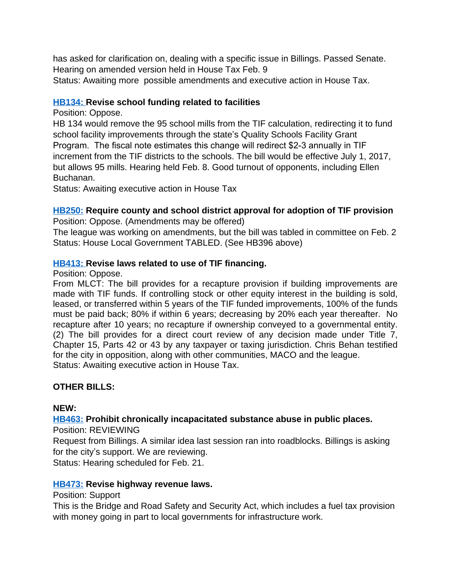has asked for clarification on, dealing with a specific issue in Billings. Passed Senate. Hearing on amended version held in House Tax Feb. 9

Status: Awaiting more possible amendments and executive action in House Tax.

## **[HB134: R](http://laws.leg.mt.gov/legprd/LAW0210W$BSIV.ActionQuery?P_BILL_NO1=134&P_BLTP_BILL_TYP_CD=HB&Z_ACTION=Find&P_SESS=20171)evise school funding related to facilities**

Position: Oppose.

HB 134 would remove the 95 school mills from the TIF calculation, redirecting it to fund school facility improvements through the state's Quality Schools Facility Grant Program. The fiscal note estimates this change will redirect \$2-3 annually in TIF increment from the TIF districts to the schools. The bill would be effective July 1, 2017, but allows 95 mills. Hearing held Feb. 8. Good turnout of opponents, including Ellen Buchanan.

Status: Awaiting executive action in House Tax

# **[HB250:](http://laws.leg.mt.gov/legprd/LAW0210W$BSIV.ActionQuery?P_BILL_NO1=250&P_BLTP_BILL_TYP_CD=HB&Z_ACTION=Find&P_SESS=20171) Require county and school district approval for adoption of TIF provision**

Position: Oppose. (Amendments may be offered)

The league was working on amendments, but the bill was tabled in committee on Feb. 2 Status: House Local Government TABLED. (See HB396 above)

# **[HB413: R](http://laws.leg.mt.gov/legprd/LAW0210W$BSIV.ActionQuery?P_BILL_NO1=413&P_BLTP_BILL_TYP_CD=HB&Z_ACTION=Find&P_SESS=20171)evise laws related to use of TIF financing.**

Position: Oppose.

From MLCT: The bill provides for a recapture provision if building improvements are made with TIF funds. If controlling stock or other equity interest in the building is sold, leased, or transferred within 5 years of the TIF funded improvements, 100% of the funds must be paid back; 80% if within 6 years; decreasing by 20% each year thereafter. No recapture after 10 years; no recapture if ownership conveyed to a governmental entity. (2) The bill provides for a direct court review of any decision made under Title 7, Chapter 15, Parts 42 or 43 by any taxpayer or taxing jurisdiction. Chris Behan testified for the city in opposition, along with other communities, MACO and the league. Status: Awaiting executive action in House Tax.

# **OTHER BILLS:**

# **NEW:**

**[HB463:](http://laws.leg.mt.gov/legprd/LAW0210W$BSIV.ActionQuery?P_BILL_NO1=463&P_BLTP_BILL_TYP_CD=HB&Z_ACTION=Find&P_SESS=20171) Prohibit chronically incapacitated substance abuse in public places.**

Position: REVIEWING

Request from Billings. A similar idea last session ran into roadblocks. Billings is asking for the city's support. We are reviewing.

Status: Hearing scheduled for Feb. 21.

# **[HB473:](http://laws.leg.mt.gov/legprd/LAW0210W$BSIV.ActionQuery?P_BILL_NO1=473&P_BLTP_BILL_TYP_CD=HB&Z_ACTION=Find&P_SESS=20171) Revise highway revenue laws.**

Position: Support

This is the Bridge and Road Safety and Security Act, which includes a fuel tax provision with money going in part to local governments for infrastructure work.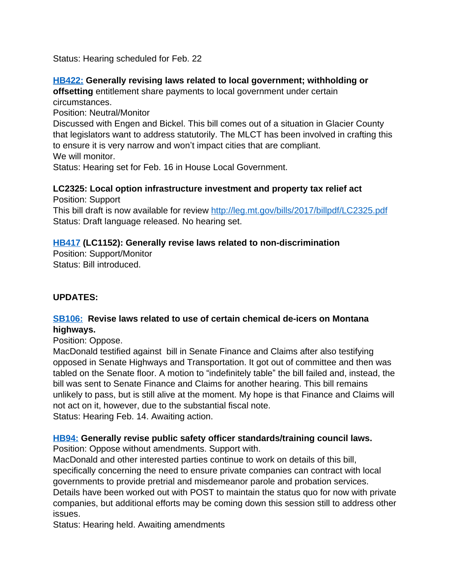Status: Hearing scheduled for Feb. 22

# **[HB422:](http://laws.leg.mt.gov/legprd/LAW0210W$BSIV.ActionQuery?P_BILL_NO1=422&P_BLTP_BILL_TYP_CD=HB&Z_ACTION=Find&P_SESS=20171) Generally revising laws related to local government; withholding or**

**offsetting** entitlement share payments to local government under certain circumstances.

Position: Neutral/Monitor

Discussed with Engen and Bickel. This bill comes out of a situation in Glacier County that legislators want to address statutorily. The MLCT has been involved in crafting this to ensure it is very narrow and won't impact cities that are compliant. We will monitor.

Status: Hearing set for Feb. 16 in House Local Government.

#### **LC2325: Local option infrastructure investment and property tax relief act** Position: Support

This bill draft is now available for review <http://leg.mt.gov/bills/2017/billpdf/LC2325.pdf> Status: Draft language released. No hearing set.

# **[HB417](http://laws.leg.mt.gov/legprd/LAW0210W$BSIV.ActionQuery?P_BILL_NO1=417&P_BLTP_BILL_TYP_CD=HB&Z_ACTION=Find&P_SESS=20171) (LC1152): Generally revise laws related to non-discrimination**

Position: Support/Monitor Status: Bill introduced.

# **UPDATES:**

# **[SB106:](http://laws.leg.mt.gov/legprd/LAW0210W$BSIV.ActionQuery?P_BILL_NO1=106&P_BLTP_BILL_TYP_CD=SB&Z_ACTION=Find&P_SESS=20171) Revise laws related to use of certain chemical de-icers on Montana highways.**

Position: Oppose.

MacDonald testified against bill in Senate Finance and Claims after also testifying opposed in Senate Highways and Transportation. It got out of committee and then was tabled on the Senate floor. A motion to "indefinitely table" the bill failed and, instead, the bill was sent to Senate Finance and Claims for another hearing. This bill remains unlikely to pass, but is still alive at the moment. My hope is that Finance and Claims will not act on it, however, due to the substantial fiscal note. Status: Hearing Feb. 14. Awaiting action.

# **[HB94:](http://laws.leg.mt.gov/legprd/LAW0210W$BSIV.ActionQuery?P_BILL_NO1=94&P_BLTP_BILL_TYP_CD=HB&Z_ACTION=Find&P_SESS=20171) Generally revise public safety officer standards/training council laws.**

Position: Oppose without amendments. Support with.

MacDonald and other interested parties continue to work on details of this bill, specifically concerning the need to ensure private companies can contract with local governments to provide pretrial and misdemeanor parole and probation services.

Details have been worked out with POST to maintain the status quo for now with private companies, but additional efforts may be coming down this session still to address other issues.

Status: Hearing held. Awaiting amendments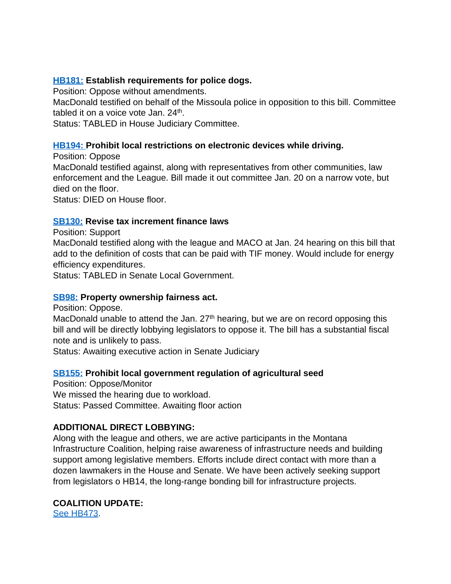## **[HB181:](http://laws.leg.mt.gov/legprd/LAW0210W$BSIV.ActionQuery?P_BILL_NO1=181&P_BLTP_BILL_TYP_CD=HB&Z_ACTION=Find&P_SESS=20171) Establish requirements for police dogs.**

Position: Oppose without amendments.

MacDonald testified on behalf of the Missoula police in opposition to this bill. Committee tabled it on a voice vote Jan. 24<sup>th</sup>.

Status: TABLED in House Judiciary Committee.

#### **[HB194: P](http://laws.leg.mt.gov/legprd/LAW0210W$BSIV.ActionQuery?P_BILL_NO1=194&P_BLTP_BILL_TYP_CD=HB&Z_ACTION=Find&P_SESS=20171)rohibit local restrictions on electronic devices while driving.**

Position: Oppose

MacDonald testified against, along with representatives from other communities, law enforcement and the League. Bill made it out committee Jan. 20 on a narrow vote, but died on the floor.

Status: DIED on House floor.

#### **[SB130:](http://laws.leg.mt.gov/legprd/LAW0210W$BSIV.ActionQuery?P_BILL_NO1=130&P_BLTP_BILL_TYP_CD=SB&Z_ACTION=Find&P_SESS=20171) Revise tax increment finance laws**

Position: Support

MacDonald testified along with the league and MACO at Jan. 24 hearing on this bill that add to the definition of costs that can be paid with TIF money. Would include for energy efficiency expenditures.

Status: TABLED in Senate Local Government.

# **[SB98:](http://laws.leg.mt.gov/legprd/LAW0210W$BSIV.ActionQuery?P_BILL_NO1=98&P_BLTP_BILL_TYP_CD=SB&Z_ACTION=Find&P_SESS=20171) Property ownership fairness act.**

Position: Oppose.

MacDonald unable to attend the Jan.  $27<sup>th</sup>$  hearing, but we are on record opposing this bill and will be directly lobbying legislators to oppose it. The bill has a substantial fiscal note and is unlikely to pass.

Status: Awaiting executive action in Senate Judiciary

# **[SB155:](http://laws.leg.mt.gov/legprd/LAW0210W$BSIV.ActionQuery?P_BILL_NO1=155&P_BLTP_BILL_TYP_CD=SB&Z_ACTION=Find&P_SESS=20171) Prohibit local government regulation of agricultural seed**

Position: Oppose/Monitor We missed the hearing due to workload. Status: Passed Committee. Awaiting floor action

# **ADDITIONAL DIRECT LOBBYING:**

Along with the league and others, we are active participants in the Montana Infrastructure Coalition, helping raise awareness of infrastructure needs and building support among legislative members. Efforts include direct contact with more than a dozen lawmakers in the House and Senate. We have been actively seeking support from legislators o HB14, the long-range bonding bill for infrastructure projects.

# **COALITION UPDATE:**

[See HB473](http://laws.leg.mt.gov/legprd/LAW0210W$BSIV.ActionQuery?P_BILL_NO1=473&P_BLTP_BILL_TYP_CD=HB&Z_ACTION=Find&P_SESS=20171).